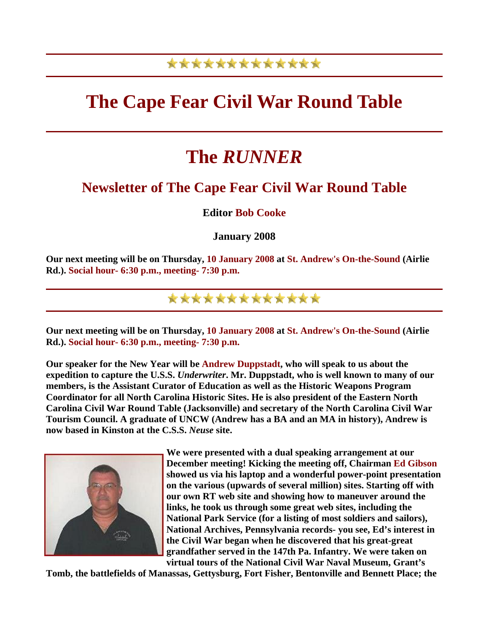## \*\*\*\*\*\*\*\*\*\*\*\*\*

## **The Cape Fear Civil War Round Table**

# **The** *RUNNER*

### **Newsletter of The Cape Fear Civil War Round Table**

### **Editor Bob Cooke**

### **January 2008**

**Our next meeting will be on Thursday, 10 January 2008 at St. Andrew's On-the-Sound (Airlie Rd.). Social hour- 6:30 p.m., meeting- 7:30 p.m.** 

\*\*\*\*\*\*\*\*\*\*\*\*\*

**Our next meeting will be on Thursday, 10 January 2008 at St. Andrew's On-the-Sound (Airlie Rd.). Social hour- 6:30 p.m., meeting- 7:30 p.m.** 

**Our speaker for the New Year will be Andrew Duppstadt, who will speak to us about the expedition to capture the U.S.S.** *Underwriter***. Mr. Duppstadt, who is well known to many of our members, is the Assistant Curator of Education as well as the Historic Weapons Program Coordinator for all North Carolina Historic Sites. He is also president of the Eastern North Carolina Civil War Round Table (Jacksonville) and secretary of the North Carolina Civil War Tourism Council. A graduate of UNCW (Andrew has a BA and an MA in history), Andrew is now based in Kinston at the C.S.S.** *Neuse* **site.** 



**We were presented with a dual speaking arrangement at our December meeting! Kicking the meeting off, Chairman Ed Gibson showed us via his laptop and a wonderful power-point presentation on the various (upwards of several million) sites. Starting off with our own RT web site and showing how to maneuver around the links, he took us through some great web sites, including the National Park Service (for a listing of most soldiers and sailors), National Archives, Pennsylvania records- you see, Ed's interest in the Civil War began when he discovered that his great-great grandfather served in the 147th Pa. Infantry. We were taken on virtual tours of the National Civil War Naval Museum, Grant's** 

**Tomb, the battlefields of Manassas, Gettysburg, Fort Fisher, Bentonville and Bennett Place; the**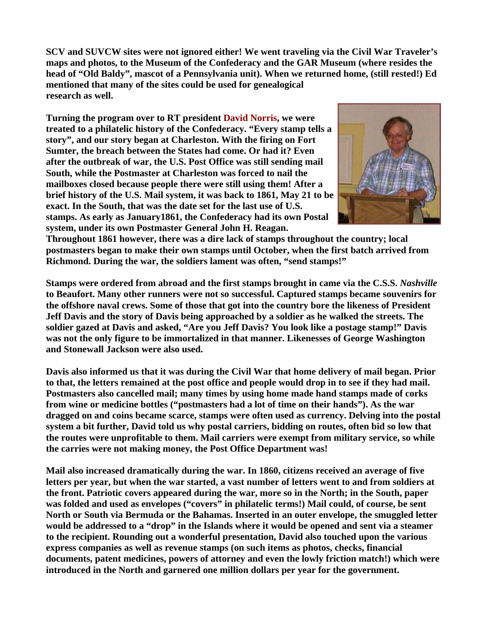**SCV and SUVCW sites were not ignored either! We went traveling via the Civil War Traveler's maps and photos, to the Museum of the Confederacy and the GAR Museum (where resides the head of "Old Baldy", mascot of a Pennsylvania unit). When we returned home, (still rested!) Ed mentioned that many of the sites could be used for genealogical research as well.** 

**Turning the program over to RT president David Norris, we were treated to a philatelic history of the Confederacy. "Every stamp tells a story", and our story began at Charleston. With the firing on Fort Sumter, the breach between the States had come. Or had it? Even after the outbreak of war, the U.S. Post Office was still sending mail South, while the Postmaster at Charleston was forced to nail the mailboxes closed because people there were still using them! After a brief history of the U.S. Mail system, it was back to 1861, May 21 to be exact. In the South, that was the date set for the last use of U.S. stamps. As early as January1861, the Confederacy had its own Postal system, under its own Postmaster General John H. Reagan.** 



**Throughout 1861 however, there was a dire lack of stamps throughout the country; local postmasters began to make their own stamps until October, when the first batch arrived from Richmond. During the war, the soldiers lament was often, "send stamps!"** 

**Stamps were ordered from abroad and the first stamps brought in came via the C.S.S.** *Nashville* **to Beaufort. Many other runners were not so successful. Captured stamps became souvenirs for the offshore naval crews. Some of those that got into the country bore the likeness of President Jeff Davis and the story of Davis being approached by a soldier as he walked the streets. The soldier gazed at Davis and asked, "Are you Jeff Davis? You look like a postage stamp!" Davis was not the only figure to be immortalized in that manner. Likenesses of George Washington and Stonewall Jackson were also used.** 

**Davis also informed us that it was during the Civil War that home delivery of mail began. Prior to that, the letters remained at the post office and people would drop in to see if they had mail. Postmasters also cancelled mail; many times by using home made hand stamps made of corks from wine or medicine bottles ("postmasters had a lot of time on their hands"). As the war dragged on and coins became scarce, stamps were often used as currency. Delving into the postal system a bit further, David told us why postal carriers, bidding on routes, often bid so low that the routes were unprofitable to them. Mail carriers were exempt from military service, so while the carries were not making money, the Post Office Department was!** 

**Mail also increased dramatically during the war. In 1860, citizens received an average of five letters per year, but when the war started, a vast number of letters went to and from soldiers at the front. Patriotic covers appeared during the war, more so in the North; in the South, paper was folded and used as envelopes ("covers" in philatelic terms!) Mail could, of course, be sent North or South via Bermuda or the Bahamas. Inserted in an outer envelope, the smuggled letter would be addressed to a "drop" in the Islands where it would be opened and sent via a steamer to the recipient. Rounding out a wonderful presentation, David also touched upon the various express companies as well as revenue stamps (on such items as photos, checks, financial documents, patent medicines, powers of attorney and even the lowly friction match!) which were introduced in the North and garnered one million dollars per year for the government.**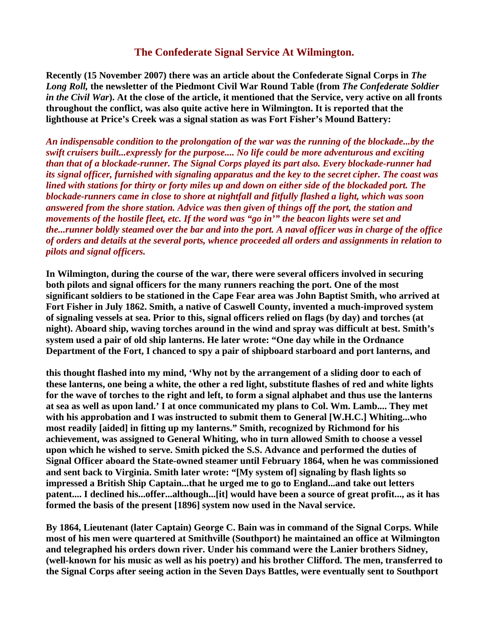#### **The Confederate Signal Service At Wilmington.**

**Recently (15 November 2007) there was an article about the Confederate Signal Corps in** *The Long Roll,* **the newsletter of the Piedmont Civil War Round Table (from** *The Confederate Soldier in the Civil War***). At the close of the article, it mentioned that the Service, very active on all fronts throughout the conflict, was also quite active here in Wilmington. It is reported that the lighthouse at Price's Creek was a signal station as was Fort Fisher's Mound Battery:** 

*An indispensable condition to the prolongation of the war was the running of the blockade...by the swift cruisers built...expressly for the purpose.... No life could be more adventurous and exciting than that of a blockade-runner. The Signal Corps played its part also. Every blockade-runner had its signal officer, furnished with signaling apparatus and the key to the secret cipher. The coast was lined with stations for thirty or forty miles up and down on either side of the blockaded port. The blockade-runners came in close to shore at nightfall and fitfully flashed a light, which was soon answered from the shore station. Advice was then given of things off the port, the station and movements of the hostile fleet, etc. If the word was "go in'" the beacon lights were set and the...runner boldly steamed over the bar and into the port. A naval officer was in charge of the office of orders and details at the several ports, whence proceeded all orders and assignments in relation to pilots and signal officers.*

**In Wilmington, during the course of the war, there were several officers involved in securing both pilots and signal officers for the many runners reaching the port. One of the most significant soldiers to be stationed in the Cape Fear area was John Baptist Smith, who arrived at Fort Fisher in July 1862. Smith, a native of Caswell County, invented a much-improved system of signaling vessels at sea. Prior to this, signal officers relied on flags (by day) and torches (at night). Aboard ship, waving torches around in the wind and spray was difficult at best. Smith's system used a pair of old ship lanterns. He later wrote: "One day while in the Ordnance Department of the Fort, I chanced to spy a pair of shipboard starboard and port lanterns, and** 

**this thought flashed into my mind, 'Why not by the arrangement of a sliding door to each of these lanterns, one being a white, the other a red light, substitute flashes of red and white lights for the wave of torches to the right and left, to form a signal alphabet and thus use the lanterns at sea as well as upon land.' I at once communicated my plans to Col. Wm. Lamb.... They met with his approbation and I was instructed to submit them to General [W.H.C.] Whiting...who most readily [aided] in fitting up my lanterns." Smith, recognized by Richmond for his achievement, was assigned to General Whiting, who in turn allowed Smith to choose a vessel upon which he wished to serve. Smith picked the S.S. Advance and performed the duties of Signal Officer aboard the State-owned steamer until February 1864, when he was commissioned and sent back to Virginia. Smith later wrote: "[My system of] signaling by flash lights so impressed a British Ship Captain...that he urged me to go to England...and take out letters patent.... I declined his...offer...although...[it] would have been a source of great profit..., as it has formed the basis of the present [1896] system now used in the Naval service.** 

**By 1864, Lieutenant (later Captain) George C. Bain was in command of the Signal Corps. While most of his men were quartered at Smithville (Southport) he maintained an office at Wilmington and telegraphed his orders down river. Under his command were the Lanier brothers Sidney, (well-known for his music as well as his poetry) and his brother Clifford. The men, transferred to the Signal Corps after seeing action in the Seven Days Battles, were eventually sent to Southport**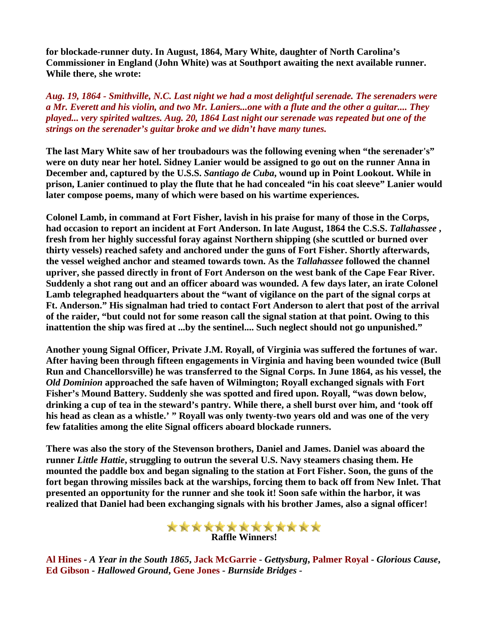**for blockade-runner duty. In August, 1864, Mary White, daughter of North Carolina's Commissioner in England (John White) was at Southport awaiting the next available runner. While there, she wrote:** 

*Aug. 19, 1864 - Smithville, N.C. Last night we had a most delightful serenade. The serenaders were a Mr. Everett and his violin, and two Mr. Laniers...one with a flute and the other a guitar.... They played... very spirited waltzes. Aug. 20, 1864 Last night our serenade was repeated but one of the strings on the serenader's guitar broke and we didn't have many tunes.*

**The last Mary White saw of her troubadours was the following evening when "the serenader's" were on duty near her hotel. Sidney Lanier would be assigned to go out on the runner Anna in December and, captured by the U.S.S.** *Santiago de Cuba***, wound up in Point Lookout. While in prison, Lanier continued to play the flute that he had concealed "in his coat sleeve" Lanier would later compose poems, many of which were based on his wartime experiences.** 

**Colonel Lamb, in command at Fort Fisher, lavish in his praise for many of those in the Corps, had occasion to report an incident at Fort Anderson. In late August, 1864 the C.S.S.** *Tallahassee* **, fresh from her highly successful foray against Northern shipping (she scuttled or burned over thirty vessels) reached safety and anchored under the guns of Fort Fisher. Shortly afterwards, the vessel weighed anchor and steamed towards town. As the** *Tallahassee* **followed the channel upriver, she passed directly in front of Fort Anderson on the west bank of the Cape Fear River. Suddenly a shot rang out and an officer aboard was wounded. A few days later, an irate Colonel Lamb telegraphed headquarters about the "want of vigilance on the part of the signal corps at Ft. Anderson." His signalman had tried to contact Fort Anderson to alert that post of the arrival of the raider, "but could not for some reason call the signal station at that point. Owing to this inattention the ship was fired at ...by the sentinel.... Such neglect should not go unpunished."** 

**Another young Signal Officer, Private J.M. Royall, of Virginia was suffered the fortunes of war. After having been through fifteen engagements in Virginia and having been wounded twice (Bull Run and Chancellorsville) he was transferred to the Signal Corps. In June 1864, as his vessel, the**  *Old Dominion* **approached the safe haven of Wilmington; Royall exchanged signals with Fort Fisher's Mound Battery. Suddenly she was spotted and fired upon. Royall, "was down below, drinking a cup of tea in the steward's pantry. While there, a shell burst over him, and 'took off his head as clean as a whistle.' " Royall was only twenty-two years old and was one of the very few fatalities among the elite Signal officers aboard blockade runners.** 

**There was also the story of the Stevenson brothers, Daniel and James. Daniel was aboard the runner** *Little Hattie***, struggling to outrun the several U.S. Navy steamers chasing them. He mounted the paddle box and began signaling to the station at Fort Fisher. Soon, the guns of the fort began throwing missiles back at the warships, forcing them to back off from New Inlet. That presented an opportunity for the runner and she took it! Soon safe within the harbor, it was realized that Daniel had been exchanging signals with his brother James, also a signal officer!** 



**Al Hines -** *A Year in the South 1865***, Jack McGarrie -** *Gettysburg***, Palmer Royal -** *Glorious Cause***, Ed Gibson -** *Hallowed Ground***, Gene Jones -** *Burnside Bridges -*